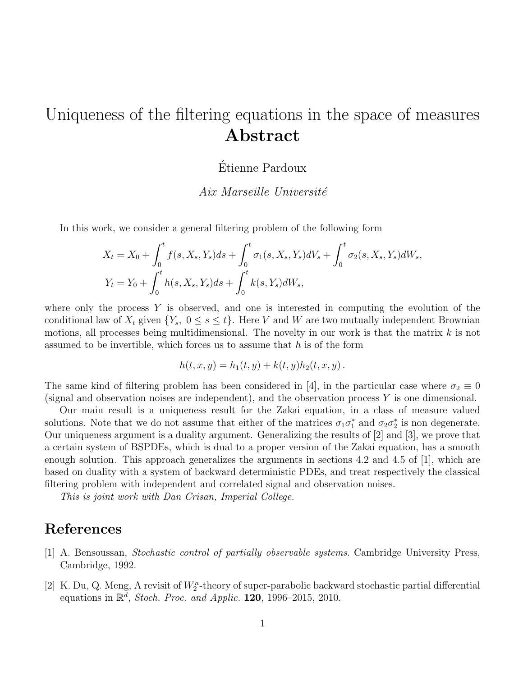## Uniqueness of the filtering equations in the space of measures Abstract

## Etienne Pardoux ´

Aix Marseille Université

In this work, we consider a general filtering problem of the following form

$$
X_t = X_0 + \int_0^t f(s, X_s, Y_s)ds + \int_0^t \sigma_1(s, X_s, Y_s)dV_s + \int_0^t \sigma_2(s, X_s, Y_s)dW_s,
$$
  
\n
$$
Y_t = Y_0 + \int_0^t h(s, X_s, Y_s)ds + \int_0^t k(s, Y_s)dW_s,
$$

where only the process  $Y$  is observed, and one is interested in computing the evolution of the conditional law of  $X_t$  given  $\{Y_s, 0 \le s \le t\}$ . Here V and W are two mutually independent Brownian motions, all processes being multidimensional. The novelty in our work is that the matrix  $k$  is not assumed to be invertible, which forces us to assume that  $h$  is of the form

$$
h(t, x, y) = h_1(t, y) + k(t, y)h_2(t, x, y).
$$

The same kind of filtering problem has been considered in [4], in the particular case where  $\sigma_2 \equiv 0$ (signal and observation noises are independent), and the observation process  $Y$  is one dimensional.

Our main result is a uniqueness result for the Zakai equation, in a class of measure valued solutions. Note that we do not assume that either of the matrices  $\sigma_1 \sigma_1^*$  and  $\sigma_2 \sigma_2^*$  is non degenerate. Our uniqueness argument is a duality argument. Generalizing the results of [2] and [3], we prove that a certain system of BSPDEs, which is dual to a proper version of the Zakai equation, has a smooth enough solution. This approach generalizes the arguments in sections 4.2 and 4.5 of [1], which are based on duality with a system of backward deterministic PDEs, and treat respectively the classical filtering problem with independent and correlated signal and observation noises.

This is joint work with Dan Crisan, Imperial College.

## References

- [1] A. Bensoussan, Stochastic control of partially observable systems. Cambridge University Press, Cambridge, 1992.
- [2] K. Du, Q. Meng, A revisit of  $W_2^n$ -theory of super-parabolic backward stochastic partial differential equations in  $\mathbb{R}^d$ , Stoch. Proc. and Applic. 120, 1996–2015, 2010.